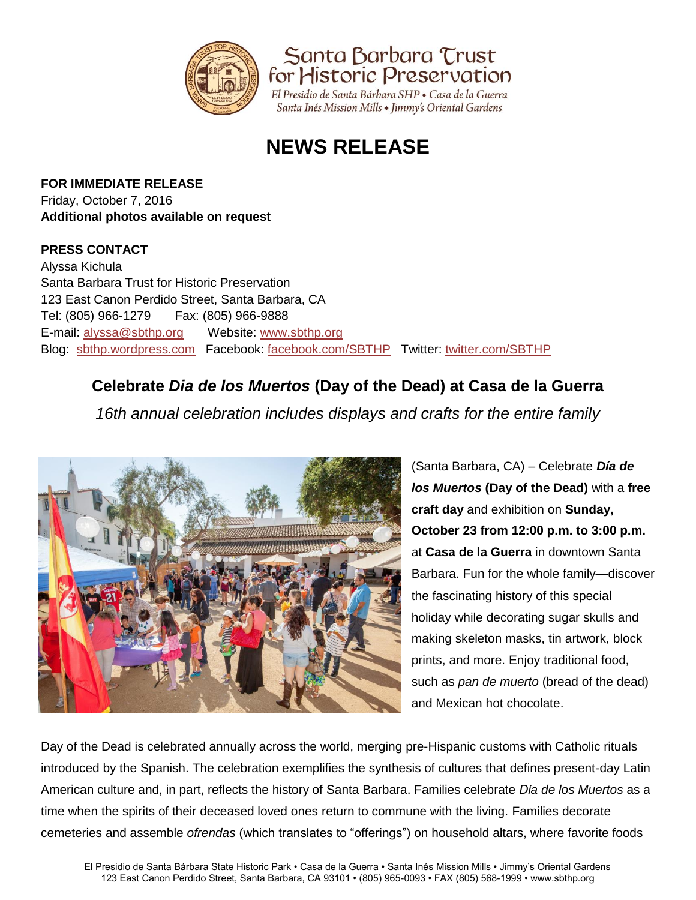

Santa Barbara Trust for Historic Preservation

El Presidio de Santa Bárbara SHP · Casa de la Guerra Santa Inés Mission Mills • Jimmy's Oriental Gardens

# **NEWS RELEASE**

**FOR IMMEDIATE RELEASE** Friday, October 7, 2016 **Additional photos available on request** 

#### **PRESS CONTACT**

Alyssa Kichula Santa Barbara Trust for Historic Preservation 123 East Canon Perdido Street, Santa Barbara, CA Tel: (805) 966-1279 Fax: (805) 966-9888 E-mail: [alyssa@sbthp.org](mailto:alyssa@sbthp.org) Website: [www.sbthp.org](http://www.sbthp.org/) Blog: [sbthp.wordpress.com](http://sbthp.wordpress.com/) Facebook: [facebook.com/SBTHP](http://www.facebook.com/SBTHP) Twitter: [twitter.com/SBTHP](http://twitter.com/SBTHP)

## **Celebrate** *Dia de los Muertos* **(Day of the Dead) at Casa de la Guerra**

*16th annual celebration includes displays and crafts for the entire family*



(Santa Barbara, CA) – Celebrate *Día de los Muertos* **(Day of the Dead)** with a **free craft day** and exhibition on **Sunday, October 23 from 12:00 p.m. to 3:00 p.m.** at **Casa de la Guerra** in downtown Santa Barbara. Fun for the whole family—discover the fascinating history of this special holiday while decorating sugar skulls and making skeleton masks, tin artwork, block prints, and more. Enjoy traditional food, such as *pan de muerto* (bread of the dead) and Mexican hot chocolate.

Day of the Dead is celebrated annually across the world, merging pre-Hispanic customs with Catholic rituals introduced by the Spanish. The celebration exemplifies the synthesis of cultures that defines present-day Latin American culture and, in part, reflects the history of Santa Barbara. Families celebrate *Dίa de los Muertos* as a time when the spirits of their deceased loved ones return to commune with the living. Families decorate cemeteries and assemble *ofrendas* (which translates to "offerings") on household altars, where favorite foods